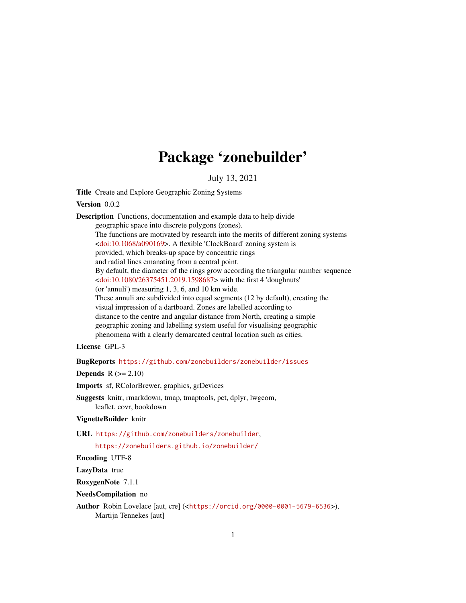## Package 'zonebuilder'

July 13, 2021

<span id="page-0-0"></span>Title Create and Explore Geographic Zoning Systems

Version 0.0.2

Description Functions, documentation and example data to help divide geographic space into discrete polygons (zones). The functions are motivated by research into the merits of different zoning systems [<doi:10.1068/a090169>](https://doi.org/10.1068/a090169). A flexible 'ClockBoard' zoning system is provided, which breaks-up space by concentric rings and radial lines emanating from a central point. By default, the diameter of the rings grow according the triangular number sequence [<doi:10.1080/26375451.2019.1598687>](https://doi.org/10.1080/26375451.2019.1598687) with the first 4 'doughnuts' (or 'annuli') measuring 1, 3, 6, and 10 km wide. These annuli are subdivided into equal segments (12 by default), creating the visual impression of a dartboard. Zones are labelled according to distance to the centre and angular distance from North, creating a simple geographic zoning and labelling system useful for visualising geographic phenomena with a clearly demarcated central location such as cities.

License GPL-3

BugReports <https://github.com/zonebuilders/zonebuilder/issues>

Depends  $R$  ( $>= 2.10$ )

Imports sf, RColorBrewer, graphics, grDevices

Suggests knitr, rmarkdown, tmap, tmaptools, pct, dplyr, lwgeom, leaflet, covr, bookdown

VignetteBuilder knitr

URL <https://github.com/zonebuilders/zonebuilder>,

<https://zonebuilders.github.io/zonebuilder/>

Encoding UTF-8

LazyData true

RoxygenNote 7.1.1

NeedsCompilation no

Author Robin Lovelace [aut, cre] (<<https://orcid.org/0000-0001-5679-6536>>), Martijn Tennekes [aut]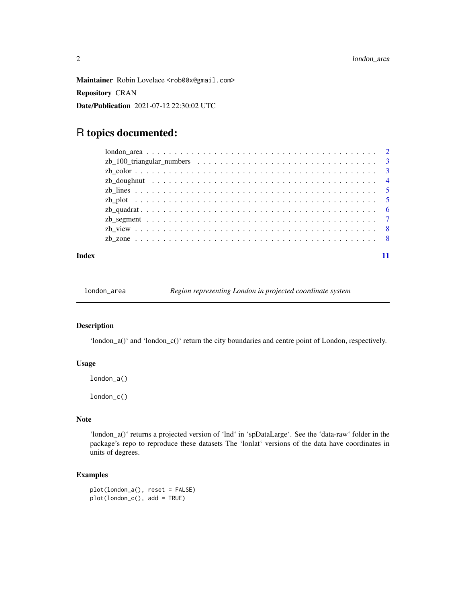<span id="page-1-0"></span>Maintainer Robin Lovelace <rob00x@gmail.com> Repository CRAN Date/Publication 2021-07-12 22:30:02 UTC

### R topics documented:

#### **Index** [11](#page-10-0)

london\_area *Region representing London in projected coordinate system*

#### Description

'london\_a()' and 'london\_c()' return the city boundaries and centre point of London, respectively.

#### Usage

london\_a()

london\_c()

#### Note

'london\_a()' returns a projected version of 'lnd' in 'spDataLarge'. See the 'data-raw' folder in the package's repo to reproduce these datasets The 'lonlat' versions of the data have coordinates in units of degrees.

#### Examples

plot(london\_a(), reset = FALSE) plot(london\_c(), add = TRUE)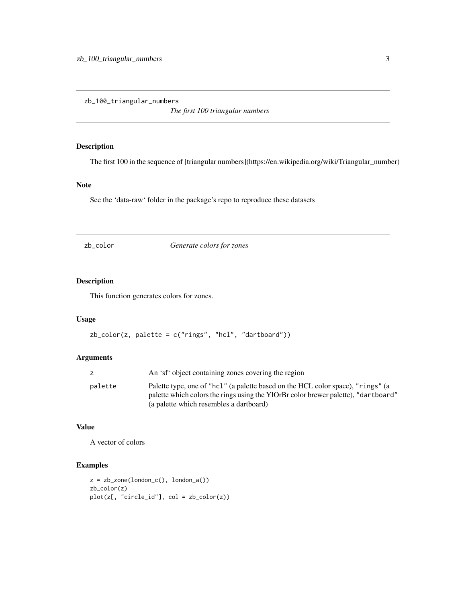<span id="page-2-0"></span>zb\_100\_triangular\_numbers

*The first 100 triangular numbers*

#### Description

The first 100 in the sequence of [triangular numbers](https://en.wikipedia.org/wiki/Triangular\_number)

#### Note

See the 'data-raw' folder in the package's repo to reproduce these datasets

zb\_color *Generate colors for zones*

#### Description

This function generates colors for zones.

#### Usage

```
zb_color(z, palette = c("rings", "hcl", "dartboard"))
```
#### Arguments

|         | An 'sf' object containing zones covering the region                                                                                                                                                              |
|---------|------------------------------------------------------------------------------------------------------------------------------------------------------------------------------------------------------------------|
| palette | Palette type, one of "hc1" (a palette based on the HCL color space), "rings" (a<br>palette which colors the rings using the YlOrBr color brewer palette), "dartboard"<br>(a palette which resembles a dartboard) |

#### Value

A vector of colors

#### Examples

```
z = zb_zone(london_c(), london_a())
zb_color(z)
plot(z[, "circle_id"], col = zb_color(z))
```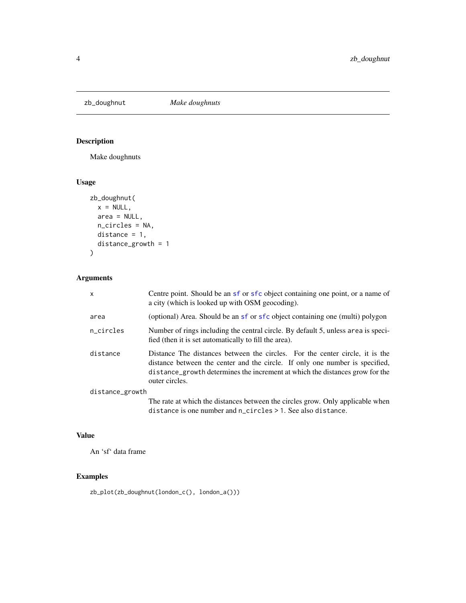<span id="page-3-0"></span>

#### Description

Make doughnuts

#### Usage

```
zb_doughnut(
 x = NULL,area = NULL,
 n_circles = NA,
 distance = 1,
 distance_growth = 1
)
```
#### Arguments

| $\times$        | Centre point. Should be an sf or sfc object containing one point, or a name of<br>a city (which is looked up with OSM geocoding).                                                                                                                              |
|-----------------|----------------------------------------------------------------------------------------------------------------------------------------------------------------------------------------------------------------------------------------------------------------|
| area            | (optional) Area. Should be an sf or sfc object containing one (multi) polygon                                                                                                                                                                                  |
| n_circles       | Number of rings including the central circle. By default 5, unless area is speci-<br>fied (then it is set automatically to fill the area).                                                                                                                     |
| distance        | Distance The distances between the circles. For the center circle, it is the<br>distance between the center and the circle. If only one number is specified,<br>distance_growth determines the increment at which the distances grow for the<br>outer circles. |
| distance_growth |                                                                                                                                                                                                                                                                |
|                 | The rate at which the distances between the circles grow. Only applicable when<br>distance is one number and n_circles > 1. See also distance.                                                                                                                 |

#### Value

An 'sf' data frame

#### Examples

zb\_plot(zb\_doughnut(london\_c(), london\_a()))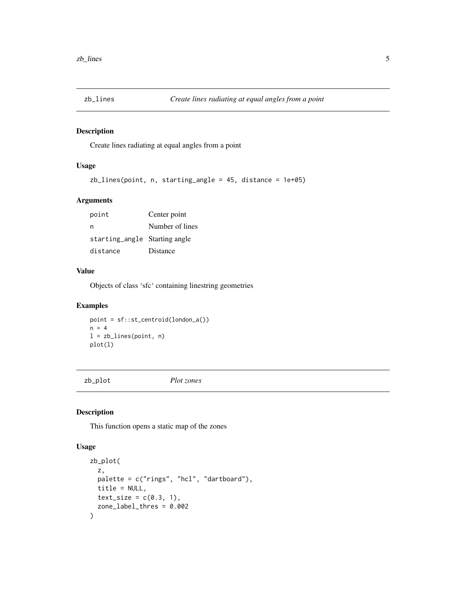<span id="page-4-0"></span>

#### Description

Create lines radiating at equal angles from a point

#### Usage

zb\_lines(point, n, starting\_angle = 45, distance = 1e+05)

#### Arguments

point Center point n Number of lines starting\_angle Starting angle distance Distance

#### Value

Objects of class 'sfc' containing linestring geometries

#### Examples

point = sf::st\_centroid(london\_a())  $n = 4$ l = zb\_lines(point, n) plot(l)

zb\_plot *Plot zones*

#### Description

This function opens a static map of the zones

#### Usage

```
zb_plot(
  z,
 palette = c("rings", "hcl", "dartboard"),
 title = NULL,
  text\_size = c(0.3, 1),zone_label_thres = 0.002
\mathcal{E}
```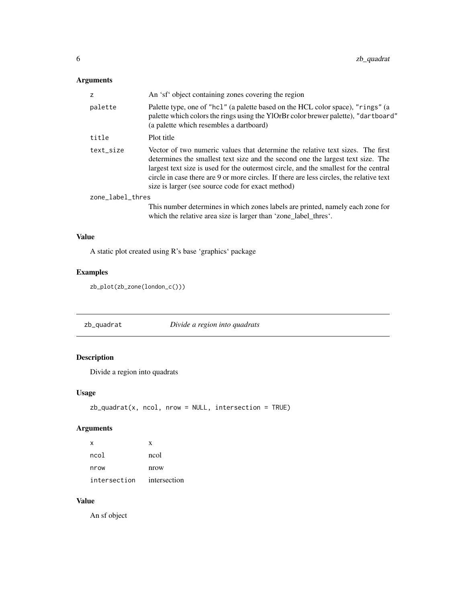#### <span id="page-5-0"></span>Arguments

| z                | An 'sf' object containing zones covering the region                                                                                                                                                                                                                                                                                                                                                        |
|------------------|------------------------------------------------------------------------------------------------------------------------------------------------------------------------------------------------------------------------------------------------------------------------------------------------------------------------------------------------------------------------------------------------------------|
| palette          | Palette type, one of "hcl" (a palette based on the HCL color space), "rings" (a<br>palette which colors the rings using the YlOrBr color brewer palette), "dartboard"<br>(a palette which resembles a dartboard)                                                                                                                                                                                           |
| title            | Plot title                                                                                                                                                                                                                                                                                                                                                                                                 |
| text size        | Vector of two numeric values that determine the relative text sizes. The first<br>determines the smallest text size and the second one the largest text size. The<br>largest text size is used for the outermost circle, and the smallest for the central<br>circle in case there are 9 or more circles. If there are less circles, the relative text<br>size is larger (see source code for exact method) |
| zone_label_thres |                                                                                                                                                                                                                                                                                                                                                                                                            |
|                  | This number determines in which zones labels are printed, namely each zone for<br>which the relative area size is larger than 'zone_label_thres'.                                                                                                                                                                                                                                                          |
|                  |                                                                                                                                                                                                                                                                                                                                                                                                            |

#### Value

A static plot created using R's base 'graphics' package

#### Examples

```
zb_plot(zb_zone(london_c()))
```
zb\_quadrat *Divide a region into quadrats*

#### Description

Divide a region into quadrats

#### Usage

```
zb_quadrat(x, ncol, nrow = NULL, intersection = TRUE)
```
#### Arguments

| x            | X            |
|--------------|--------------|
| ncol         | ncol         |
| nrow         | nrow         |
| intersection | intersection |

#### Value

An sf object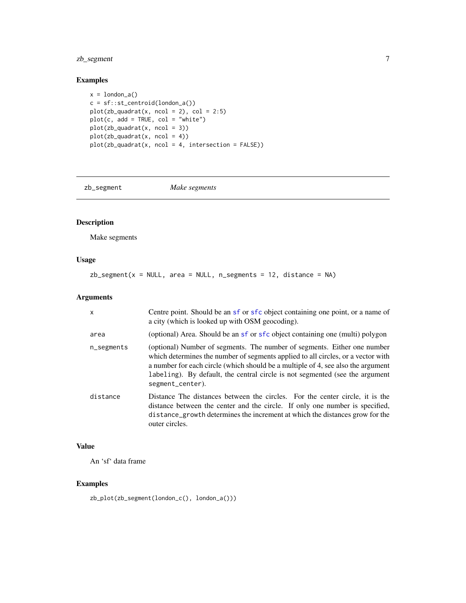#### <span id="page-6-0"></span>zb\_segment 7

#### Examples

```
x = london_a()
c = sf::st_centroid(london_a())
plot(zb_quadrat(x, ncol = 2), col = 2:5)plot(c, add = TRUE, col = "white")plot(zb_quadrat(x, ncol = 3))plot(zb_quadrat(x, ncol = 4))plot(zb_quadrat(x, ncol = 4, intersection = FALSE))
```
zb\_segment *Make segments*

#### Description

Make segments

#### Usage

 $zb_segment(x = NULL, area = NULL, n_segments = 12, distance = NA)$ 

#### Arguments

| X             | Centre point. Should be an sf or sfc object containing one point, or a name of<br>a city (which is looked up with OSM geocoding).                                                                                                                                                                                                                    |
|---------------|------------------------------------------------------------------------------------------------------------------------------------------------------------------------------------------------------------------------------------------------------------------------------------------------------------------------------------------------------|
| area          | (optional) Area. Should be an sf or sfc object containing one (multi) polygon                                                                                                                                                                                                                                                                        |
| $n$ _segments | (optional) Number of segments. The number of segments. Either one number<br>which determines the number of segments applied to all circles, or a vector with<br>a number for each circle (which should be a multiple of 4, see also the argument<br>labeling). By default, the central circle is not segmented (see the argument<br>segment_center). |
| distance      | Distance The distances between the circles. For the center circle, it is the<br>distance between the center and the circle. If only one number is specified,<br>distance_growth determines the increment at which the distances grow for the<br>outer circles.                                                                                       |

#### Value

An 'sf' data frame

#### Examples

zb\_plot(zb\_segment(london\_c(), london\_a()))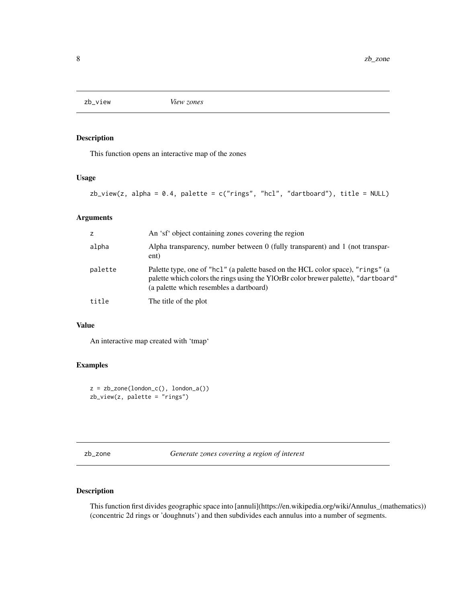<span id="page-7-0"></span>

#### Description

This function opens an interactive map of the zones

#### Usage

```
zb\_view(z, alpha = 0.4, platete = c("rings", "hcl", "dartboard"), title = NULL)
```
#### Arguments

| z       | An 'sf' object containing zones covering the region                                                                                                                                                              |
|---------|------------------------------------------------------------------------------------------------------------------------------------------------------------------------------------------------------------------|
| alpha   | Alpha transparency, number between $0$ (fully transparent) and 1 (not transpar-<br>ent)                                                                                                                          |
| palette | Palette type, one of "hcl" (a palette based on the HCL color space), "rings" (a<br>palette which colors the rings using the YlOrBr color brewer palette), "dartboard"<br>(a palette which resembles a dartboard) |
| title   | The title of the plot                                                                                                                                                                                            |

#### Value

An interactive map created with 'tmap'

#### Examples

```
z = zb_zzone(london_c(), london_a())
zb_view(z, palette = "rings")
```
zb\_zone *Generate zones covering a region of interest*

#### Description

This function first divides geographic space into [annuli](https://en.wikipedia.org/wiki/Annulus\_(mathematics)) (concentric 2d rings or 'doughnuts') and then subdivides each annulus into a number of segments.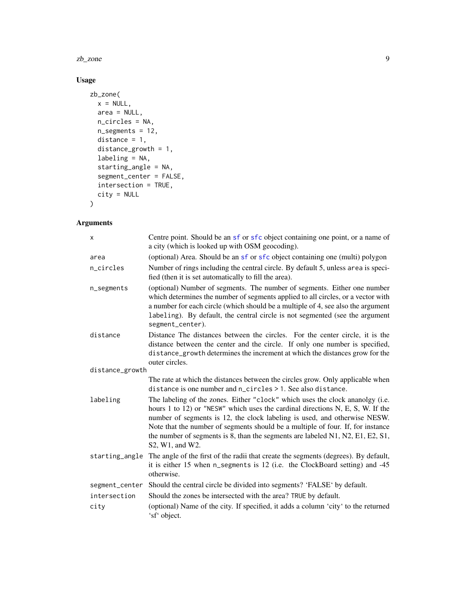<span id="page-8-0"></span>zb\_zone 9

#### Usage

```
zb_zone(
  x = NULL,area = NULL,n_circles = NA,
  n_segments = 12,
  distance = 1,distance_growth = 1,
  labeling = NA,
  starting_angle = NA,
  segment_center = FALSE,
  intersection = TRUE,
  city = NULL
\mathcal{L}
```
#### Arguments

| X               | Centre point. Should be an sf or sfc object containing one point, or a name of<br>a city (which is looked up with OSM geocoding).                                                                                                                                                                                                                                                                                                    |
|-----------------|--------------------------------------------------------------------------------------------------------------------------------------------------------------------------------------------------------------------------------------------------------------------------------------------------------------------------------------------------------------------------------------------------------------------------------------|
| area            | (optional) Area. Should be an sf or sfc object containing one (multi) polygon                                                                                                                                                                                                                                                                                                                                                        |
| n_circles       | Number of rings including the central circle. By default 5, unless area is speci-<br>fied (then it is set automatically to fill the area).                                                                                                                                                                                                                                                                                           |
| n_segments      | (optional) Number of segments. The number of segments. Either one number<br>which determines the number of segments applied to all circles, or a vector with<br>a number for each circle (which should be a multiple of 4, see also the argument<br>labeling). By default, the central circle is not segmented (see the argument<br>segment_center).                                                                                 |
| distance        | Distance The distances between the circles. For the center circle, it is the<br>distance between the center and the circle. If only one number is specified,<br>distance_growth determines the increment at which the distances grow for the<br>outer circles.                                                                                                                                                                       |
| distance_growth |                                                                                                                                                                                                                                                                                                                                                                                                                                      |
|                 | The rate at which the distances between the circles grow. Only applicable when<br>distance is one number and n_circles > 1. See also distance.                                                                                                                                                                                                                                                                                       |
| labeling        | The labeling of the zones. Either "clock" which uses the clock ananolgy (i.e.<br>hours 1 to 12) or "NESW" which uses the cardinal directions N, E, S, W. If the<br>number of segments is 12, the clock labeling is used, and otherwise NESW.<br>Note that the number of segments should be a multiple of four. If, for instance<br>the number of segments is 8, than the segments are labeled N1, N2, E1, E2, S1,<br>S2, W1, and W2. |
| starting_angle  | The angle of the first of the radii that create the segments (degrees). By default,<br>it is either 15 when n_segments is 12 (i.e. the ClockBoard setting) and -45<br>otherwise.                                                                                                                                                                                                                                                     |
|                 | segment_center Should the central circle be divided into segments? 'FALSE' by default.                                                                                                                                                                                                                                                                                                                                               |
| intersection    | Should the zones be intersected with the area? TRUE by default.                                                                                                                                                                                                                                                                                                                                                                      |
| city            | (optional) Name of the city. If specified, it adds a column 'city' to the returned<br>'sf' object.                                                                                                                                                                                                                                                                                                                                   |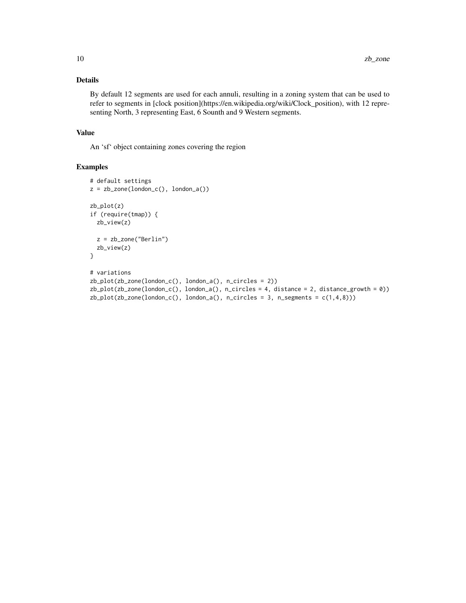#### Details

By default 12 segments are used for each annuli, resulting in a zoning system that can be used to refer to segments in [clock position](https://en.wikipedia.org/wiki/Clock\_position), with 12 representing North, 3 representing East, 6 Sounth and 9 Western segments.

#### Value

An 'sf' object containing zones covering the region

#### Examples

```
# default settings
z = zb_zzone(london_c(), london_a())
zb_plot(z)
if (require(tmap)) {
  zb_view(z)
  z = zb_zone("Berlin")
  zb_view(z)
}
# variations
zb_plot(zb_zzone(london_c(), london_a(), n_circles = 2))zb_pplot(zb_zzone(London_c(), London_a(), n_circles = 4, distance = 2, distance_growth = 0))zb_plot(zb_zone(london_c(), london_a(), n_circles = 3, n_segments = c(1,4,8)))
```